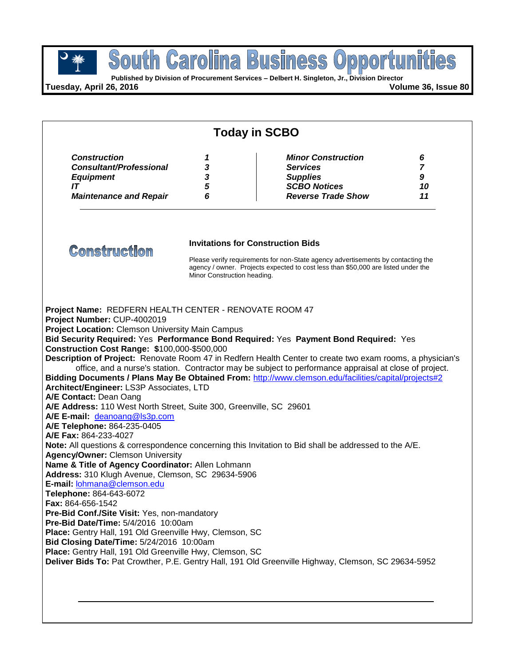

**Published by Division of Procurement Services – Delbert H. Singleton, Jr., Division Director**

**Tuesday, April 26, 2016 Volume 36, Issue 80**

| <b>Today in SCBO</b>                                                                                                                                                                                                                                                                                                                                                                                                                                                                                                                                                                                                                                                                                                                                                                                                                                                                                                                                                                                                                                                                                                                                                                                                                                                                                                                                                                                                                                             |                             |  |                                                                                                                                                                                                                   |                                      |
|------------------------------------------------------------------------------------------------------------------------------------------------------------------------------------------------------------------------------------------------------------------------------------------------------------------------------------------------------------------------------------------------------------------------------------------------------------------------------------------------------------------------------------------------------------------------------------------------------------------------------------------------------------------------------------------------------------------------------------------------------------------------------------------------------------------------------------------------------------------------------------------------------------------------------------------------------------------------------------------------------------------------------------------------------------------------------------------------------------------------------------------------------------------------------------------------------------------------------------------------------------------------------------------------------------------------------------------------------------------------------------------------------------------------------------------------------------------|-----------------------------|--|-------------------------------------------------------------------------------------------------------------------------------------------------------------------------------------------------------------------|--------------------------------------|
| <b>Construction</b><br><b>Consultant/Professional</b><br><b>Equipment</b><br>IT<br><b>Maintenance and Repair</b>                                                                                                                                                                                                                                                                                                                                                                                                                                                                                                                                                                                                                                                                                                                                                                                                                                                                                                                                                                                                                                                                                                                                                                                                                                                                                                                                                 | 1<br>3<br>3<br>5<br>6       |  | <b>Minor Construction</b><br><b>Services</b><br><b>Supplies</b><br><b>SCBO Notices</b><br><b>Reverse Trade Show</b>                                                                                               | 6<br>$\overline{7}$<br>9<br>10<br>11 |
| <b>Construction</b>                                                                                                                                                                                                                                                                                                                                                                                                                                                                                                                                                                                                                                                                                                                                                                                                                                                                                                                                                                                                                                                                                                                                                                                                                                                                                                                                                                                                                                              | Minor Construction heading. |  | <b>Invitations for Construction Bids</b><br>Please verify requirements for non-State agency advertisements by contacting the<br>agency / owner. Projects expected to cost less than \$50,000 are listed under the |                                      |
| Project Name: REDFERN HEALTH CENTER - RENOVATE ROOM 47<br>Project Number: CUP-4002019<br><b>Project Location: Clemson University Main Campus</b><br>Bid Security Required: Yes Performance Bond Required: Yes Payment Bond Required: Yes<br>Construction Cost Range: \$100,000-\$500,000<br>Description of Project: Renovate Room 47 in Redfern Health Center to create two exam rooms, a physician's<br>Bidding Documents / Plans May Be Obtained From: http://www.clemson.edu/facilities/capital/projects#2<br>Architect/Engineer: LS3P Associates, LTD<br>A/E Contact: Dean Oang<br>A/E Address: 110 West North Street, Suite 300, Greenville, SC 29601<br>A/E E-mail: deanoang@ls3p.com<br>A/E Telephone: 864-235-0405<br>A/E Fax: 864-233-4027<br>Note: All questions & correspondence concerning this Invitation to Bid shall be addressed to the A/E.<br><b>Agency/Owner: Clemson University</b><br>Name & Title of Agency Coordinator: Allen Lohmann<br>Address: 310 Klugh Avenue, Clemson, SC 29634-5906<br>E-mail: lohmana@clemson.edu<br>Telephone: 864-643-6072<br>Fax: 864-656-1542<br>Pre-Bid Conf./Site Visit: Yes, non-mandatory<br>Pre-Bid Date/Time: 5/4/2016 10:00am<br>Place: Gentry Hall, 191 Old Greenville Hwy, Clemson, SC<br>Bid Closing Date/Time: 5/24/2016 10:00am<br>Place: Gentry Hall, 191 Old Greenville Hwy, Clemson, SC<br>Deliver Bids To: Pat Crowther, P.E. Gentry Hall, 191 Old Greenville Highway, Clemson, SC 29634-5952 |                             |  | office, and a nurse's station. Contractor may be subject to performance appraisal at close of project.                                                                                                            |                                      |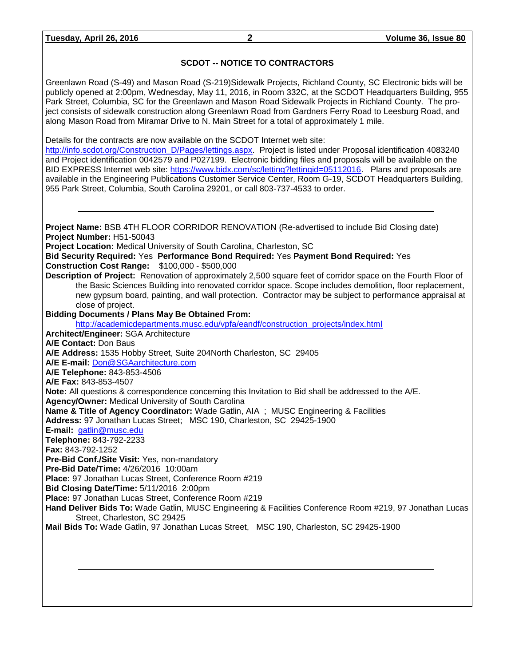### **SCDOT -- NOTICE TO CONTRACTORS**

Greenlawn Road (S-49) and Mason Road (S-219)Sidewalk Projects, Richland County, SC Electronic bids will be publicly opened at 2:00pm, Wednesday, May 11, 2016, in Room 332C, at the SCDOT Headquarters Building, 955 Park Street, Columbia, SC for the Greenlawn and Mason Road Sidewalk Projects in Richland County. The project consists of sidewalk construction along Greenlawn Road from Gardners Ferry Road to Leesburg Road, and along Mason Road from Miramar Drive to N. Main Street for a total of approximately 1 mile.

Details for the contracts are now available on the SCDOT Internet web site:

[http://info.scdot.org/Construction\\_D/Pages/lettings.aspx.](http://info.scdot.org/Construction_D/Pages/lettings.aspx) Project is listed under Proposal identification 4083240 and Project identification 0042579 and P027199. Electronic bidding files and proposals will be available on the BID EXPRESS Internet web site: [https://www.bidx.com/sc/letting?lettingid=05112016.](https://www.bidx.com/sc/letting?lettingid=05112016) Plans and proposals are available in the Engineering Publications Customer Service Center, Room G-19, SCDOT Headquarters Building, 955 Park Street, Columbia, South Carolina 29201, or call 803-737-4533 to order.

**Project Name:** BSB 4TH FLOOR CORRIDOR RENOVATION (Re-advertised to include Bid Closing date) **Project Number:** H51-50043 **Project Location:** Medical University of South Carolina, Charleston, SC **Bid Security Required:** Yes **Performance Bond Required:** Yes **Payment Bond Required:** Yes **Construction Cost Range:** \$100,000 - \$500,000 **Description of Project:** Renovation of approximately 2,500 square feet of corridor space on the Fourth Floor of the Basic Sciences Building into renovated corridor space. Scope includes demolition, floor replacement, new gypsum board, painting, and wall protection. Contractor may be subject to performance appraisal at close of project. **Bidding Documents / Plans May Be Obtained From:** [http://academicdepartments.musc.edu/vpfa/eandf/construction\\_projects/index.html](http://academicdepartments.musc.edu/vpfa/eandf/construction_projects/index.html)  **Architect/Engineer:** SGA Architecture **A/E Contact:** Don Baus **A/E Address:** 1535 Hobby Street, Suite 204North Charleston, SC 29405 **A/E E-mail:** [Don@SGAarchitecture.com](mailto:Don@SGAarchitecture.com) **A/E Telephone:** 843-853-4506 **A/E Fax:** 843-853-4507 **Note:** All questions & correspondence concerning this Invitation to Bid shall be addressed to the A/E. **Agency/Owner:** Medical University of South Carolina **Name & Title of Agency Coordinator:** Wade Gatlin, AIA ; MUSC Engineering & Facilities **Address:** 97 Jonathan Lucas Street; MSC 190, Charleston, SC 29425-1900 **E-mail:** [gatlin@musc.edu](mailto:gatlin@musc.edu) **Telephone:** 843-792-2233 **Fax:** 843-792-1252 **Pre-Bid Conf./Site Visit:** Yes, non-mandatory **Pre-Bid Date/Time:** 4/26/2016 10:00am **Place:** 97 Jonathan Lucas Street, Conference Room #219 **Bid Closing Date/Time:** 5/11/2016 2:00pm **Place:** 97 Jonathan Lucas Street, Conference Room #219 **Hand Deliver Bids To:** Wade Gatlin, MUSC Engineering & Facilities Conference Room #219, 97 Jonathan Lucas Street, Charleston, SC 29425 **Mail Bids To:** Wade Gatlin, 97 Jonathan Lucas Street, MSC 190, Charleston, SC 29425-1900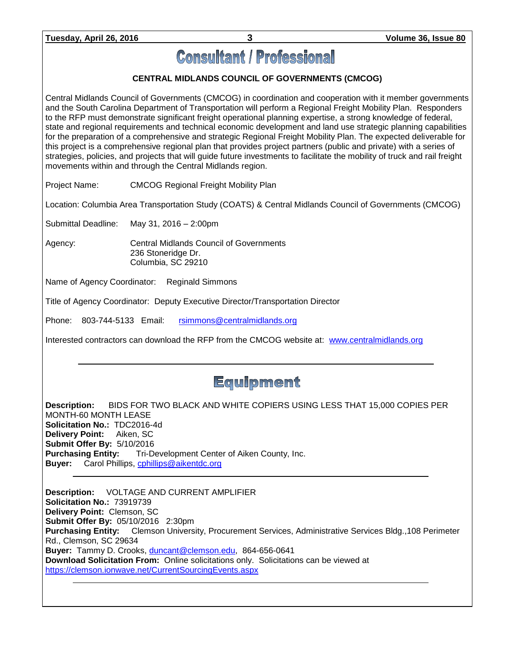# **Consultant / Professional**

## **CENTRAL MIDLANDS COUNCIL OF GOVERNMENTS (CMCOG)**

Central Midlands Council of Governments (CMCOG) in coordination and cooperation with it member governments and the South Carolina Department of Transportation will perform a Regional Freight Mobility Plan. Responders to the RFP must demonstrate significant freight operational planning expertise, a strong knowledge of federal, state and regional requirements and technical economic development and land use strategic planning capabilities for the preparation of a comprehensive and strategic Regional Freight Mobility Plan. The expected deliverable for this project is a comprehensive regional plan that provides project partners (public and private) with a series of strategies, policies, and projects that will guide future investments to facilitate the mobility of truck and rail freight movements within and through the Central Midlands region.

Project Name: CMCOG Regional Freight Mobility Plan

Location: Columbia Area Transportation Study (COATS) & Central Midlands Council of Governments (CMCOG)

Submittal Deadline: May 31, 2016 – 2:00pm

Agency: Central Midlands Council of Governments 236 Stoneridge Dr. Columbia, SC 29210

Name of Agency Coordinator: Reginald Simmons

Title of Agency Coordinator: Deputy Executive Director/Transportation Director

Phone: 803-744-5133 Email: [rsimmons@centralmidlands.org](mailto:rsimmons@centralmidlands.org)

Interested contractors can download the RFP from the CMCOG website at: [www.centralmidlands.org](http://www.centralmidlands.org/)

# **Equipment**

**Description:** BIDS FOR TWO BLACK AND WHITE COPIERS USING LESS THAT 15,000 COPIES PER MONTH-60 MONTH LEASE **Solicitation No.:** TDC2016-4d **Delivery Point:** Aiken, SC **Submit Offer By:** 5/10/2016 **Purchasing Entity:** Tri-Development Center of Aiken County, Inc. **Buyer:** Carol Phillips, [cphillips@aikentdc.org](mailto:cphillips@aikentdc.org)

**Description:** VOLTAGE AND CURRENT AMPLIFIER **Solicitation No.:** 73919739 **Delivery Point:** Clemson, SC **Submit Offer By:** 05/10/2016 2:30pm **Purchasing Entity:** Clemson University, Procurement Services, Administrative Services Bldg.,108 Perimeter Rd., Clemson, SC 29634 **Buyer:** Tammy D. Crooks, [duncant@clemson.edu,](mailto:duncant@clemson.edu) 864-656-0641 **Download Solicitation From:** Online solicitations only. Solicitations can be viewed at <https://clemson.ionwave.net/CurrentSourcingEvents.aspx>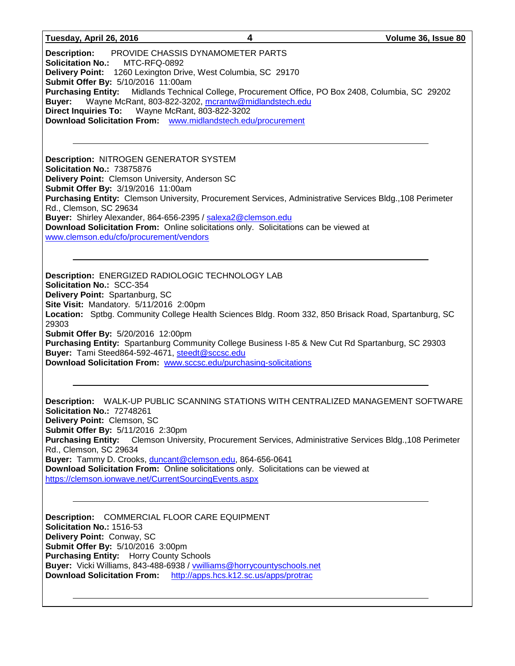#### **Tuesday, April 26, 2016 4 Volume 36, Issue 80**

**Description:** PROVIDE CHASSIS DYNAMOMETER PARTS **Solicitation No.:** MTC-RFQ-0892 **Delivery Point:** 1260 Lexington Drive, West Columbia, SC 29170 **Submit Offer By:** 5/10/2016 11:00am **Purchasing Entity:** Midlands Technical College, Procurement Office, PO Box 2408, Columbia, SC 29202 **Buyer:** Wayne McRant, 803-822-3202, [mcrantw@midlandstech.edu](mailto:mcrantw@midlandstech.edu) **Direct Inquiries To:** Wayne McRant, 803-822-3202 **Download Solicitation From:** [www.midlandstech.edu/procurement](http://www.midlandstech.edu/procurement)

**Description:** NITROGEN GENERATOR SYSTEM **Solicitation No.:** 73875876 **Delivery Point:** Clemson University, Anderson SC **Submit Offer By:** 3/19/2016 11:00am **Purchasing Entity:** Clemson University, Procurement Services, Administrative Services Bldg.,108 Perimeter Rd., Clemson, SC 29634 **Buyer:** Shirley Alexander, 864-656-2395 / [salexa2@clemson.edu](mailto:salexa2@clemson.edu) **Download Solicitation From:** Online solicitations only. Solicitations can be viewed at [www.clemson.edu/cfo/procurement/vendors](http://www.clemson.edu/cfo/procurement/vendors)

**Description:** ENERGIZED RADIOLOGIC TECHNOLOGY LAB **Solicitation No.:** SCC-354 **Delivery Point:** Spartanburg, SC **Site Visit:** Mandatory. 5/11/2016 2:00pm **Location:** Sptbg. Community College Health Sciences Bldg. Room 332, 850 Brisack Road, Spartanburg, SC 29303 **Submit Offer By:** 5/20/2016 12:00pm **Purchasing Entity:** Spartanburg Community College Business I-85 & New Cut Rd Spartanburg, SC 29303 **Buyer:** Tami Steed864-592-4671, [steedt@sccsc.edu](mailto:steedt@sccsc.edu) **Download Solicitation From:** [www.sccsc.edu/purchasing-solicitations](http://www.sccsc.edu/purchasing-solicitations)

**Description:** WALK-UP PUBLIC SCANNING STATIONS WITH CENTRALIZED MANAGEMENT SOFTWARE **Solicitation No.:** 72748261 **Delivery Point:** Clemson, SC **Submit Offer By:** 5/11/2016 2:30pm **Purchasing Entity:** Clemson University, Procurement Services, Administrative Services Bldg.,108 Perimeter Rd., Clemson, SC 29634 **Buyer:** Tammy D. Crooks, [duncant@clemson.edu,](mailto:duncant@clemson.edu) 864-656-0641 **Download Solicitation From:** Online solicitations only. Solicitations can be viewed at <https://clemson.ionwave.net/CurrentSourcingEvents.aspx>

**Description:** COMMERCIAL FLOOR CARE EQUIPMENT **Solicitation No.:** 1516-53 **Delivery Point:** Conway, SC **Submit Offer By:** 5/10/2016 3:00pm **Purchasing Entity:** Horry County Schools **Buyer:** Vicki Williams, 843-488-6938 / [vwilliams@horrycountyschools.net](mailto:vwilliams@horrycountyschools.net) **Download Solicitation From:** <http://apps.hcs.k12.sc.us/apps/protrac>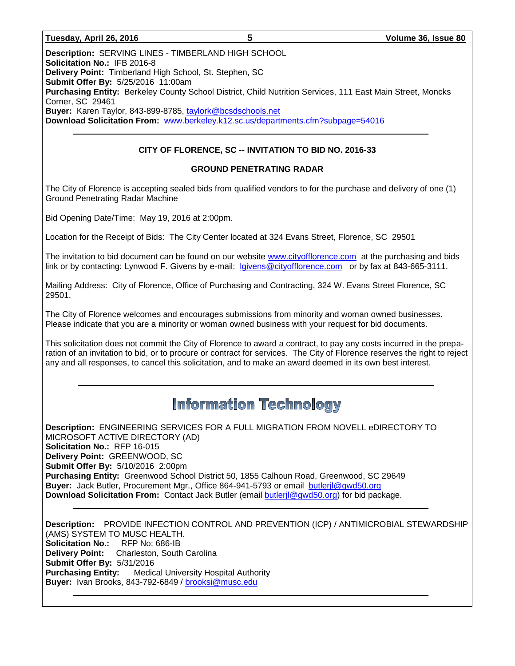#### **Tuesday, April 26, 2016 5 Volume 36, Issue 80**

**Description:** SERVING LINES - TIMBERLAND HIGH SCHOOL **Solicitation No.:** IFB 2016-8 **Delivery Point:** Timberland High School, St. Stephen, SC **Submit Offer By:** 5/25/2016 11:00am **Purchasing Entity:** Berkeley County School District, Child Nutrition Services, 111 East Main Street, Moncks Corner, SC 29461 **Buyer:** Karen Taylor, 843-899-8785, [taylork@bcsdschools.net](mailto:taylork@bcsdschools.net) **Download Solicitation From:** [www.berkeley.k12.sc.us/departments.cfm?subpage=54016](http://www.berkeley.k12.sc.us/departments.cfm?subpage=54016)

#### **CITY OF FLORENCE, SC -- INVITATION TO BID NO. 2016-33**

#### **GROUND PENETRATING RADAR**

The City of Florence is accepting sealed bids from qualified vendors to for the purchase and delivery of one (1) Ground Penetrating Radar Machine

Bid Opening Date/Time: May 19, 2016 at 2:00pm.

Location for the Receipt of Bids: The City Center located at 324 Evans Street, Florence, SC 29501

The invitation to bid document can be found on our website [www.cityofflorence.com](http://www.cityofflorence.com/) at the purchasing and bids link or by contacting: Lynwood F. Givens by e-mail: [lgivens@cityofflorence.com](mailto:lgivens@cityofflorence.com) or by fax at 843-665-3111.

Mailing Address: City of Florence, Office of Purchasing and Contracting, 324 W. Evans Street Florence, SC 29501.

The City of Florence welcomes and encourages submissions from minority and woman owned businesses. Please indicate that you are a minority or woman owned business with your request for bid documents.

This solicitation does not commit the City of Florence to award a contract, to pay any costs incurred in the preparation of an invitation to bid, or to procure or contract for services. The City of Florence reserves the right to reject any and all responses, to cancel this solicitation, and to make an award deemed in its own best interest.

# **Information Technology**

**Description:** ENGINEERING SERVICES FOR A FULL MIGRATION FROM NOVELL eDIRECTORY TO MICROSOFT ACTIVE DIRECTORY (AD) **Solicitation No.:** RFP 16-015 **Delivery Point:** GREENWOOD, SC **Submit Offer By:** 5/10/2016 2:00pm **Purchasing Entity:** Greenwood School District 50, 1855 Calhoun Road, Greenwood, SC 29649 **Buyer:** Jack Butler, Procurement Mgr., Office 864-941-5793 or email [butlerjl@gwd50.org](mailto:butlerjl@gwd50.org) **Download Solicitation From:** Contact Jack Butler (email [butlerjl@gwd50.org\)](mailto:butlerjl@gwd50.org) for bid package.

**Description:** PROVIDE INFECTION CONTROL AND PREVENTION (ICP) / ANTIMICROBIAL STEWARDSHIP (AMS) SYSTEM TO MUSC HEALTH. **Solicitation No.:** RFP No: 686-IB **Delivery Point:** Charleston, South Carolina **Submit Offer By:** 5/31/2016 **Purchasing Entity:** Medical University Hospital Authority Buyer: Ivan Brooks, 843-792-6849 / [brooksi@musc.edu](mailto:brooksi@musc.edu)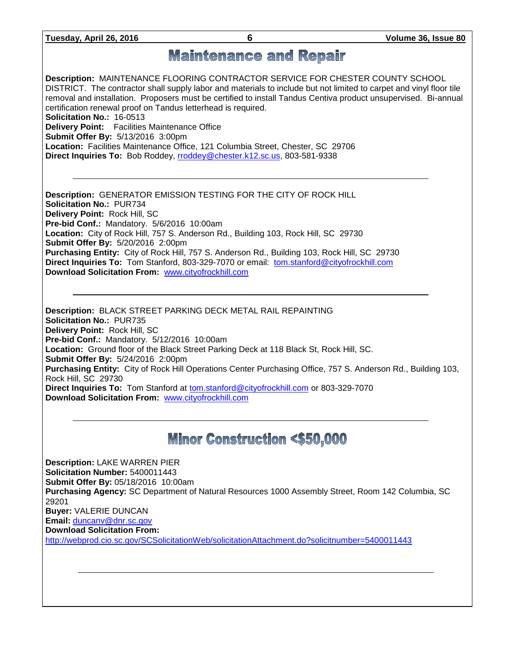**Tuesday, April 26, 2016 6 Volume 36, Issue 80**

# **Maintenance and Repair**

**Description:** MAINTENANCE FLOORING CONTRACTOR SERVICE FOR CHESTER COUNTY SCHOOL DISTRICT. The contractor shall supply labor and materials to include but not limited to carpet and vinyl floor tile removal and installation. Proposers must be certified to install Tandus Centiva product unsupervised. Bi-annual certification renewal proof on Tandus letterhead is required. **Solicitation No.:** 16-0513 **Delivery Point:** Facilities Maintenance Office **Submit Offer By:** 5/13/2016 3:00pm **Location:** Facilities Maintenance Office, 121 Columbia Street, Chester, SC 29706 **Direct Inquiries To:** Bob Roddey, [rroddey@chester.k12.sc.us,](mailto:rroddey@chester.k12.sc.us) 803-581-9338

**Description:** GENERATOR EMISSION TESTING FOR THE CITY OF ROCK HILL **Solicitation No.:** PUR734 **Delivery Point:** Rock Hill, SC **Pre-bid Conf.:** Mandatory. 5/6/2016 10:00am **Location:** City of Rock Hill, 757 S. Anderson Rd., Building 103, Rock Hill, SC 29730 **Submit Offer By:** 5/20/2016 2:00pm **Purchasing Entity:** City of Rock Hill, 757 S. Anderson Rd., Building 103, Rock Hill, SC 29730 **Direct Inquiries To:** Tom Stanford, 803-329-7070 or email: [tom.stanford@cityofrockhill.com](mailto:tom.stanford@cityofrockhill.com) **Download Solicitation From:** [www.cityofrockhill.com](http://www.cityofrockhill.com/)

**Description:** BLACK STREET PARKING DECK METAL RAIL REPAINTING **Solicitation No.:** PUR735 **Delivery Point:** Rock Hill, SC **Pre-bid Conf.:** Mandatory. 5/12/2016 10:00am **Location:** Ground floor of the Black Street Parking Deck at 118 Black St, Rock Hill, SC. **Submit Offer By:** 5/24/2016 2:00pm **Purchasing Entity:** City of Rock Hill Operations Center Purchasing Office, 757 S. Anderson Rd., Building 103, Rock Hill, SC 29730 **Direct Inquiries To:** Tom Stanford at [tom.stanford@cityofrockhill.com](mailto:tom.stanford@cityofrockhill.com) or 803-329-7070 **Download Solicitation From:** [www.cityofrockhill.com](http://www.cityofrockhill.com/)

# **Minor Construction <\$50,000**

**Description:** LAKE WARREN PIER **Solicitation Number:** 5400011443 **Submit Offer By:** 05/18/2016 10:00am **Purchasing Agency:** SC Department of Natural Resources 1000 Assembly Street, Room 142 Columbia, SC 29201 **Buyer:** VALERIE DUNCAN **Email:** [duncanv@dnr.sc.gov](mailto:duncanv@dnr.sc.gov) **Download Solicitation From:**  <http://webprod.cio.sc.gov/SCSolicitationWeb/solicitationAttachment.do?solicitnumber=5400011443>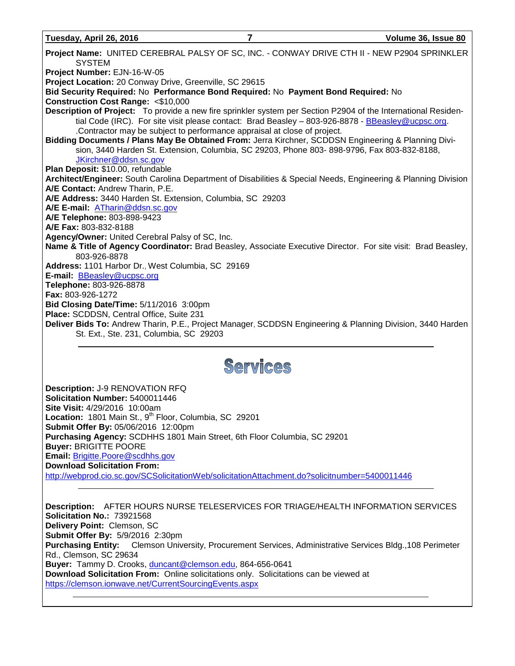**Tuesday, April 26, 2016 7 Volume 36, Issue 80**

**Project Name:** UNITED CEREBRAL PALSY OF SC, INC. - CONWAY DRIVE CTH II - NEW P2904 SPRINKLER SYSTEM **Project Number:** EJN-16-W-05 **Project Location:** 20 Conway Drive, Greenville, SC 29615 **Bid Security Required:** No **Performance Bond Required:** No **Payment Bond Required:** No **Construction Cost Range:** <\$10,000 **Description of Project:** To provide a new fire sprinkler system per Section P2904 of the International Residen-tial Code (IRC). For site visit please contact: Brad Beasley - 803-926-8878 - [BBeasley@ucpsc.org.](mailto:BBeasley@ucpsc.org) .Contractor may be subject to performance appraisal at close of project. **Bidding Documents / Plans May Be Obtained From:** Jerra Kirchner, SCDDSN Engineering & Planning Division, 3440 Harden St. Extension, Columbia, SC 29203, Phone 803- 898-9796, Fax 803-832-8188, [JKirchner@ddsn.sc.gov](mailto:JKirchner@ddsn.sc.gov) **Plan Deposit:** \$10.00, refundable **Architect/Engineer:** South Carolina Department of Disabilities & Special Needs, Engineering & Planning Division **A/E Contact:** Andrew Tharin, P.E. **A/E Address:** 3440 Harden St. Extension, Columbia, SC 29203 **A/E E-mail:** [ATharin@ddsn.sc.gov](mailto:ATharin@ddsn.sc.gov) **A/E Telephone:** 803-898-9423 **A/E Fax:** 803-832-8188 **Agency/Owner:** United Cerebral Palsy of SC, Inc. **Name & Title of Agency Coordinator:** Brad Beasley, Associate Executive Director. For site visit: Brad Beasley, 803-926-8878 **Address:** 1101 Harbor Dr., West Columbia, SC 29169 **E-mail:** [BBeasley@ucpsc.org](mailto:BBeasley@ucpsc.org) **Telephone:** 803-926-8878 **Fax:** 803-926-1272 **Bid Closing Date/Time:** 5/11/2016 3:00pm **Place:** SCDDSN, Central Office, Suite 231 **Deliver Bids To:** Andrew Tharin, P.E., Project Manager, SCDDSN Engineering & Planning Division, 3440 Harden St. Ext., Ste. 231, Columbia, SC 29203

# Services

**Description:** J-9 RENOVATION RFQ **Solicitation Number:** 5400011446 **Site Visit:** 4/29/2016 10:00am Location: 1801 Main St., 9<sup>th</sup> Floor, Columbia, SC 29201 **Submit Offer By:** 05/06/2016 12:00pm **Purchasing Agency:** SCDHHS 1801 Main Street, 6th Floor Columbia, SC 29201 **Buyer:** BRIGITTE POORE **Email:** [Brigitte.Poore@scdhhs.gov](mailto:Brigitte.Poore@scdhhs.gov) **Download Solicitation From:**  <http://webprod.cio.sc.gov/SCSolicitationWeb/solicitationAttachment.do?solicitnumber=5400011446>

**Description:** AFTER HOURS NURSE TELESERVICES FOR TRIAGE/HEALTH INFORMATION SERVICES **Solicitation No.:** 73921568 **Delivery Point:** Clemson, SC **Submit Offer By:** 5/9/2016 2:30pm **Purchasing Entity:** Clemson University, Procurement Services, Administrative Services Bldg.,108 Perimeter Rd., Clemson, SC 29634 **Buyer:** Tammy D. Crooks, [duncant@clemson.edu,](mailto:duncant@clemson.edu) 864-656-0641 **Download Solicitation From:** Online solicitations only. Solicitations can be viewed at <https://clemson.ionwave.net/CurrentSourcingEvents.aspx>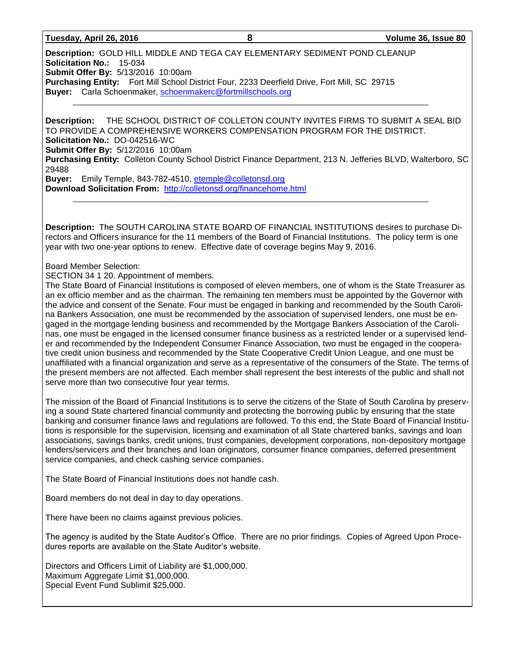#### **Tuesday, April 26, 2016 8 Volume 36, Issue 80**

**Description:** GOLD HILL MIDDLE AND TEGA CAY ELEMENTARY SEDIMENT POND CLEANUP **Solicitation No.:** 15-034 **Submit Offer By:** 5/13/2016 10:00am **Purchasing Entity:** Fort Mill School District Four, 2233 Deerfield Drive, Fort Mill, SC 29715 **Buyer:** Carla Schoenmaker[, schoenmakerc@fortmillschools.org](mailto:schoenmakerc@fortmillschools.org)

**Description:** THE SCHOOL DISTRICT OF COLLETON COUNTY INVITES FIRMS TO SUBMIT A SEAL BID TO PROVIDE A COMPREHENSIVE WORKERS COMPENSATION PROGRAM FOR THE DISTRICT. **Solicitation No.:** DO-042516-WC **Submit Offer By:** 5/12/2016 10:00am **Purchasing Entity:** Colleton County School District Finance Department, 213 N. Jefferies BLVD, Walterboro, SC 29488 **Buyer:** Emily Temple, 843-782-4510, [etemple@colletonsd.org](mailto:etemple@colletonsd.org)

**Download Solicitation From:** <http://colletonsd.org/financehome.html>

**Description:** The SOUTH CAROLINA STATE BOARD OF FINANCIAL INSTITUTIONS desires to purchase Directors and Officers insurance for the 11 members of the Board of Financial Institutions. The policy term is one year with two one-year options to renew. Effective date of coverage begins May 9, 2016.

#### Board Member Selection:

#### SECTION 34 1 20. Appointment of members.

The State Board of Financial Institutions is composed of eleven members, one of whom is the State Treasurer as an ex officio member and as the chairman. The remaining ten members must be appointed by the Governor with the advice and consent of the Senate. Four must be engaged in banking and recommended by the South Carolina Bankers Association, one must be recommended by the association of supervised lenders, one must be engaged in the mortgage lending business and recommended by the Mortgage Bankers Association of the Carolinas, one must be engaged in the licensed consumer finance business as a restricted lender or a supervised lender and recommended by the Independent Consumer Finance Association, two must be engaged in the cooperative credit union business and recommended by the State Cooperative Credit Union League, and one must be unaffiliated with a financial organization and serve as a representative of the consumers of the State. The terms of the present members are not affected. Each member shall represent the best interests of the public and shall not serve more than two consecutive four year terms.

The mission of the Board of Financial Institutions is to serve the citizens of the State of South Carolina by preserving a sound State chartered financial community and protecting the borrowing public by ensuring that the state banking and consumer finance laws and regulations are followed. To this end, the State Board of Financial Institutions is responsible for the supervision, licensing and examination of all State chartered banks, savings and loan associations, savings banks, credit unions, trust companies, development corporations, non-depository mortgage lenders/servicers and their branches and loan originators, consumer finance companies, deferred presentment service companies, and check cashing service companies.

The State Board of Financial Institutions does not handle cash.

Board members do not deal in day to day operations.

There have been no claims against previous policies.

The agency is audited by the State Auditor's Office. There are no prior findings. Copies of Agreed Upon Procedures reports are available on the State Auditor's website.

Directors and Officers Limit of Liability are \$1,000,000. Maximum Aggregate Limit \$1,000,000. Special Event Fund Sublimit \$25,000.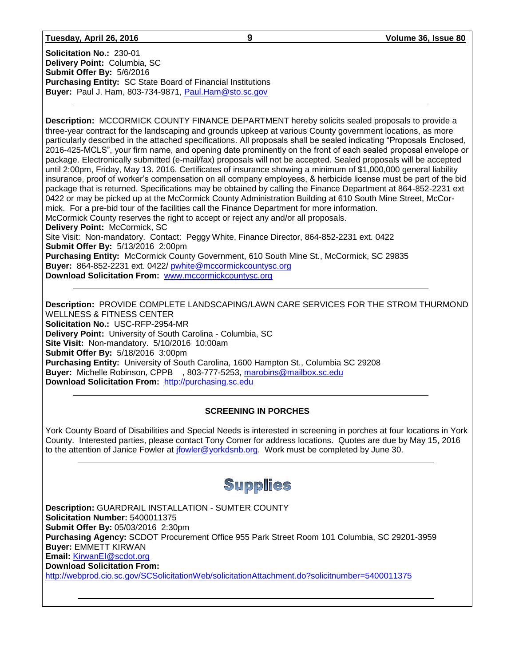#### **Tuesday, April 26, 2016 9 Volume 36, Issue 80**

**Solicitation No.:** 230-01 **Delivery Point:** Columbia, SC **Submit Offer By:** 5/6/2016 **Purchasing Entity:** SC State Board of Financial Institutions **Buyer:** Paul J. Ham, 803-734-9871, [Paul.Ham@sto.sc.gov](mailto:Paul.Ham@sto.sc.gov)

**Description:** MCCORMICK COUNTY FINANCE DEPARTMENT hereby solicits sealed proposals to provide a three-year contract for the landscaping and grounds upkeep at various County government locations, as more particularly described in the attached specifications. All proposals shall be sealed indicating "Proposals Enclosed, 2016-425-MCLS", your firm name, and opening date prominently on the front of each sealed proposal envelope or package. Electronically submitted (e-mail/fax) proposals will not be accepted. Sealed proposals will be accepted until 2:00pm, Friday, May 13. 2016. Certificates of insurance showing a minimum of \$1,000,000 general liability insurance, proof of worker's compensation on all company employees, & herbicide license must be part of the bid package that is returned. Specifications may be obtained by calling the Finance Department at 864-852-2231 ext 0422 or may be picked up at the McCormick County Administration Building at 610 South Mine Street, McCormick. For a pre-bid tour of the facilities call the Finance Department for more information. McCormick County reserves the right to accept or reject any and/or all proposals. **Delivery Point:** McCormick, SC Site Visit: Non-mandatory. Contact: Peggy White, Finance Director, 864-852-2231 ext. 0422 **Submit Offer By:** 5/13/2016 2:00pm **Purchasing Entity:** McCormick County Government, 610 South Mine St., McCormick, SC 29835 **Buyer:** 864-852-2231 ext. 0422/ [pwhite@mccormickcountysc.org](mailto:pwhite@mccormickcountysc.org)

**Download Solicitation From:** [www.mccormickcountysc.org](http://www.mccormickcountysc.org/)

**Description:** PROVIDE COMPLETE LANDSCAPING/LAWN CARE SERVICES FOR THE STROM THURMOND WELLNESS & FITNESS CENTER **Solicitation No.:** USC-RFP-2954-MR **Delivery Point:** University of South Carolina - Columbia, SC **Site Visit:** Non-mandatory. 5/10/2016 10:00am **Submit Offer By:** 5/18/2016 3:00pm **Purchasing Entity:** University of South Carolina, 1600 Hampton St., Columbia SC 29208 **Buyer:** Michelle Robinson, CPPB , 803-777-5253, [marobins@mailbox.sc.edu](mailto:marobins@mailbox.sc.edu) **Download Solicitation From:** [http://purchasing.sc.edu](http://purchasing.sc.edu/)

### **SCREENING IN PORCHES**

York County Board of Disabilities and Special Needs is interested in screening in porches at four locations in York County. Interested parties, please contact Tony Comer for address locations. Quotes are due by May 15, 2016 to the attention of Janice Fowler at *jfowler@yorkdsnb.org*. Work must be completed by June 30.

# Supplies

**Description:** GUARDRAIL INSTALLATION - SUMTER COUNTY **Solicitation Number:** 5400011375 **Submit Offer By:** 05/03/2016 2:30pm **Purchasing Agency:** SCDOT Procurement Office 955 Park Street Room 101 Columbia, SC 29201-3959 **Buyer:** EMMETT KIRWAN **Email:** [KirwanEI@scdot.org](mailto:KirwanEI@scdot.org) **Download Solicitation From:**  <http://webprod.cio.sc.gov/SCSolicitationWeb/solicitationAttachment.do?solicitnumber=5400011375>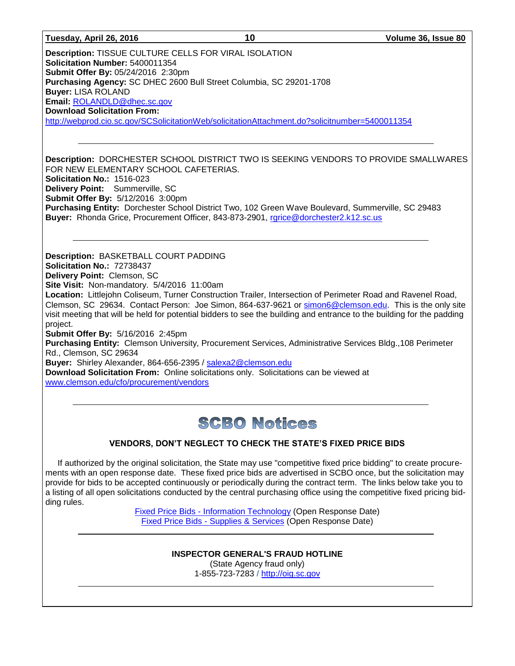**Description:** TISSUE CULTURE CELLS FOR VIRAL ISOLATION **Solicitation Number:** 5400011354 **Submit Offer By:** 05/24/2016 2:30pm **Purchasing Agency:** SC DHEC 2600 Bull Street Columbia, SC 29201-1708 **Buyer:** LISA ROLAND **Email:** [ROLANDLD@dhec.sc.gov](mailto:ROLANDLD@dhec.sc.gov) **Download Solicitation From:**  <http://webprod.cio.sc.gov/SCSolicitationWeb/solicitationAttachment.do?solicitnumber=5400011354>

**Description:** DORCHESTER SCHOOL DISTRICT TWO IS SEEKING VENDORS TO PROVIDE SMALLWARES FOR NEW ELEMENTARY SCHOOL CAFETERIAS. **Solicitation No.:** 1516-023 **Delivery Point:** Summerville, SC **Submit Offer By:** 5/12/2016 3:00pm **Purchasing Entity:** Dorchester School District Two, 102 Green Wave Boulevard, Summerville, SC 29483 **Buyer:** Rhonda Grice, Procurement Officer, 843-873-2901, [rgrice@dorchester2.k12.sc.us](mailto:rgrice@dorchester2.k12.sc.us)

**Description:** BASKETBALL COURT PADDING **Solicitation No.:** 72738437 **Delivery Point:** Clemson, SC **Site Visit:** Non-mandatory. 5/4/2016 11:00am **Location:** Littlejohn Coliseum, Turner Construction Trailer, Intersection of Perimeter Road and Ravenel Road, Clemson, SC 29634. Contact Person: Joe Simon, 864-637-9621 or [simon6@clemson.edu.](mailto:simon6@clemson.edu) This is the only site visit meeting that will be held for potential bidders to see the building and entrance to the building for the padding project. **Submit Offer By:** 5/16/2016 2:45pm **Purchasing Entity:** Clemson University, Procurement Services, Administrative Services Bldg.,108 Perimeter Rd., Clemson, SC 29634 **Buyer:** Shirley Alexander, 864-656-2395 / [salexa2@clemson.edu](mailto:salexa2@clemson.edu) **Download Solicitation From:** Online solicitations only. Solicitations can be viewed at

[www.clemson.edu/cfo/procurement/vendors](http://www.clemson.edu/cfo/procurement/vendors)

# **SCBO Notices**

## **VENDORS, DON'T NEGLECT TO CHECK THE STATE'S FIXED PRICE BIDS**

If authorized by the original solicitation, the State may use "competitive fixed price bidding" to create procurements with an open response date. These fixed price bids are advertised in SCBO once, but the solicitation may provide for bids to be accepted continuously or periodically during the contract term. The links below take you to a listing of all open solicitations conducted by the central purchasing office using the competitive fixed pricing bidding rules.

> Fixed Price Bids - [Information Technology](http://www.mmo.sc.gov/PS/vendor/PS-vendor-fixed-price-bids-it.phtm) (Open Response Date) Fixed Price Bids - [Supplies & Services](http://www.mmo.sc.gov/PS/vendor/PS-vendor-fixed-price-bids-ss.phtm) (Open Response Date)

> > **INSPECTOR GENERAL'S FRAUD HOTLINE** (State Agency fraud only) 1-855-723-7283 / [http://oig.sc.gov](http://oig.sc.gov/)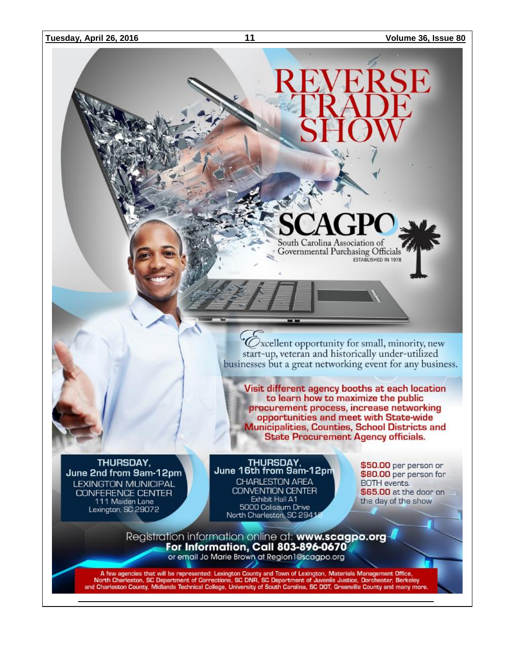

 $\mathcal O$ xcellent opportunity for small, minority, new start-up, veteran and historically under-utilized businesses but a great networking event for any business.

Visit different agency booths at each location to learn how to maximize the public procurement process, increase networking opportunities and meet with State-wide **Municipalities, Counties, School Districts and State Procurement Agency officials.** 

THURSDAY, June 2nd from 9am-12pm **LEXINGTON MUNICIPAL** CONFERENCE CENTER<br>111 Maiden Lane Lexington, SC 29072

THURSDAY, June 16th from 9am-12pm CHARLESTON AREA **CONVENTION CENTER** Exhibit Hall A1 5000 Coliseum Drive North Charleston, SC 29414

\$50.00 per person or \$80.00 per person for **BOTH** events. \$65.00 at the door on the day of the show

Registration information online at: www.scagpo.org 4<br>For Information, Call 803-896-0670 or email Jo Marie Brown at Region 1@scagpo.org

A few agencies that will be represented: Lexington County and Town of Lexington, Materials Management Office,<br>North Charleston, SC Department of Corrections, SC DNR, SC Department of Juvenile Justice, Dorchester, Berkeley<br>